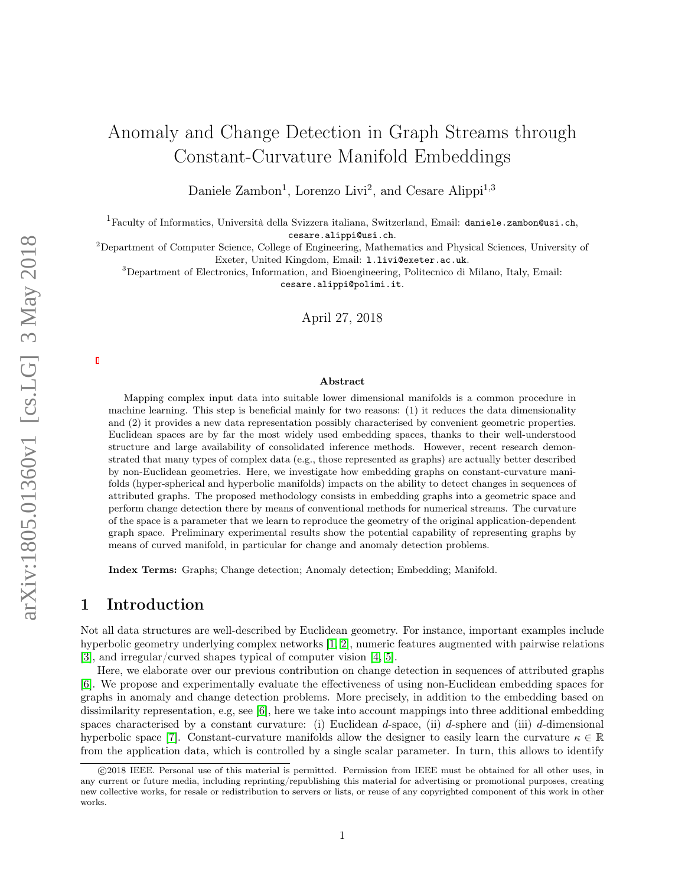# Anomaly and Change Detection in Graph Streams through Constant-Curvature Manifold Embeddings

Daniele Zambon<sup>1</sup>, Lorenzo Livi<sup>2</sup>, and Cesare Alippi<sup>1,3</sup>

 $^1$ Faculty of Informatics, Università della Svizzera italiana, Switzerland, Email: daniele.zambon@usi.ch, cesare.alippi@usi.ch.

<sup>2</sup>Department of Computer Science, College of Engineering, Mathematics and Physical Sciences, University of Exeter, United Kingdom, Email: l.livi@exeter.ac.uk.

<sup>3</sup>Department of Electronics, Information, and Bioengineering, Politecnico di Milano, Italy, Email: cesare.alippi@polimi.it.

April 27, 2018

#### Abstract

Mapping complex input data into suitable lower dimensional manifolds is a common procedure in machine learning. This step is beneficial mainly for two reasons: (1) it reduces the data dimensionality and (2) it provides a new data representation possibly characterised by convenient geometric properties. Euclidean spaces are by far the most widely used embedding spaces, thanks to their well-understood structure and large availability of consolidated inference methods. However, recent research demonstrated that many types of complex data (e.g., those represented as graphs) are actually better described by non-Euclidean geometries. Here, we investigate how embedding graphs on constant-curvature manifolds (hyper-spherical and hyperbolic manifolds) impacts on the ability to detect changes in sequences of attributed graphs. The proposed methodology consists in embedding graphs into a geometric space and perform change detection there by means of conventional methods for numerical streams. The curvature of the space is a parameter that we learn to reproduce the geometry of the original application-dependent graph space. Preliminary experimental results show the potential capability of representing graphs by means of curved manifold, in particular for change and anomaly detection problems.

Index Terms: Graphs; Change detection; Anomaly detection; Embedding; Manifold.

# 1 Introduction

Not all data structures are well-described by Euclidean geometry. For instance, important examples include hyperbolic geometry underlying complex networks [\[1,](#page-8-0) [2\]](#page-9-0), numeric features augmented with pairwise relations [\[3\]](#page-9-1), and irregular/curved shapes typical of computer vision [\[4,](#page-9-2) [5\]](#page-9-3).

Here, we elaborate over our previous contribution on change detection in sequences of attributed graphs [\[6\]](#page-9-4). We propose and experimentally evaluate the effectiveness of using non-Euclidean embedding spaces for graphs in anomaly and change detection problems. More precisely, in addition to the embedding based on dissimilarity representation, e.g, see [\[6\]](#page-9-4), here we take into account mappings into three additional embedding spaces characterised by a constant curvature: (i) Euclidean d-space, (ii) d-sphere and (iii) d-dimensional hyperbolic space [\[7\]](#page-9-5). Constant-curvature manifolds allow the designer to easily learn the curvature  $\kappa \in \mathbb{R}$ from the application data, which is controlled by a single scalar parameter. In turn, this allows to identify

c 2018 IEEE. Personal use of this material is permitted. Permission from IEEE must be obtained for all other uses, in any current or future media, including reprinting/republishing this material for advertising or promotional purposes, creating new collective works, for resale or redistribution to servers or lists, or reuse of any copyrighted component of this work in other works.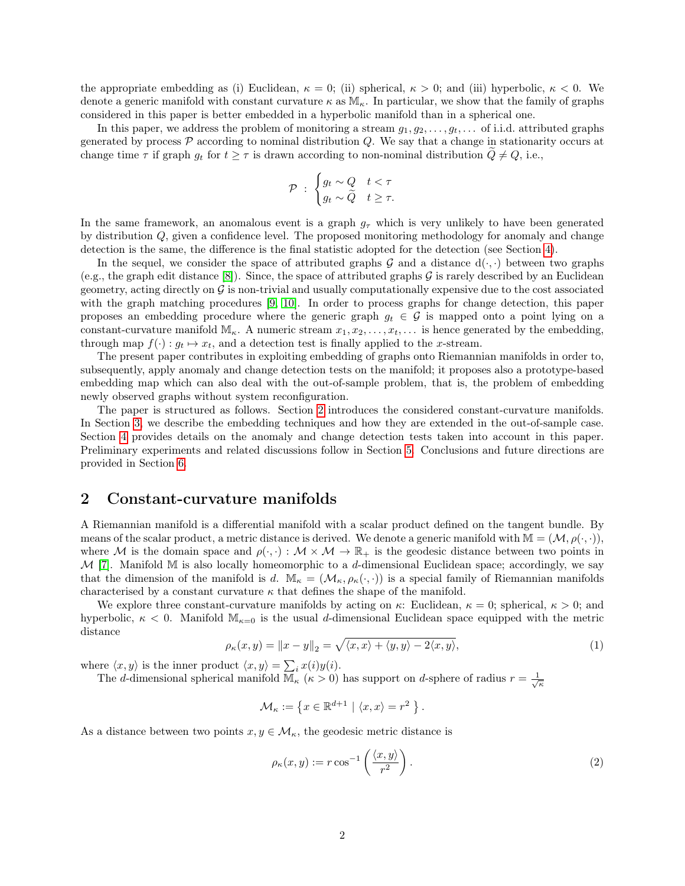the appropriate embedding as (i) Euclidean,  $\kappa = 0$ ; (ii) spherical,  $\kappa > 0$ ; and (iii) hyperbolic,  $\kappa < 0$ . We denote a generic manifold with constant curvature  $\kappa$  as  $\mathbb{M}_{\kappa}$ . In particular, we show that the family of graphs considered in this paper is better embedded in a hyperbolic manifold than in a spherical one.

In this paper, we address the problem of monitoring a stream  $g_1, g_2, \ldots, g_t, \ldots$  of i.i.d. attributed graphs generated by process  $P$  according to nominal distribution  $Q$ . We say that a change in stationarity occurs at change time  $\tau$  if graph  $g_t$  for  $t \geq \tau$  is drawn according to non-nominal distribution  $\tilde{Q} \neq Q$ , i.e.,

$$
\mathcal{P} \; : \; \begin{cases} g_t \sim Q & t < \tau \\ g_t \sim \widetilde{Q} & t \geq \tau. \end{cases}
$$

In the same framework, an anomalous event is a graph  $g<sub>\tau</sub>$  which is very unlikely to have been generated by distribution Q, given a confidence level. The proposed monitoring methodology for anomaly and change detection is the same, the difference is the final statistic adopted for the detection (see Section [4\)](#page-4-0).

In the sequel, we consider the space of attributed graphs G and a distance  $d(\cdot, \cdot)$  between two graphs (e.g., the graph edit distance [\[8\]](#page-9-6)). Since, the space of attributed graphs  $\mathcal G$  is rarely described by an Euclidean geometry, acting directly on  $G$  is non-trivial and usually computationally expensive due to the cost associated with the graph matching procedures [\[9,](#page-9-7) [10\]](#page-9-8). In order to process graphs for change detection, this paper proposes an embedding procedure where the generic graph  $g_t \in \mathcal{G}$  is mapped onto a point lying on a constant-curvature manifold  $\mathbb{M}_{\kappa}$ . A numeric stream  $x_1, x_2, \ldots, x_t, \ldots$  is hence generated by the embedding, through map  $f(\cdot) : g_t \mapsto x_t$ , and a detection test is finally applied to the x-stream.

The present paper contributes in exploiting embedding of graphs onto Riemannian manifolds in order to, subsequently, apply anomaly and change detection tests on the manifold; it proposes also a prototype-based embedding map which can also deal with the out-of-sample problem, that is, the problem of embedding newly observed graphs without system reconfiguration.

The paper is structured as follows. Section [2](#page-1-0) introduces the considered constant-curvature manifolds. In Section [3,](#page-2-0) we describe the embedding techniques and how they are extended in the out-of-sample case. Section [4](#page-4-0) provides details on the anomaly and change detection tests taken into account in this paper. Preliminary experiments and related discussions follow in Section [5.](#page-5-0) Conclusions and future directions are provided in Section [6.](#page-8-1)

# <span id="page-1-0"></span>2 Constant-curvature manifolds

A Riemannian manifold is a differential manifold with a scalar product defined on the tangent bundle. By means of the scalar product, a metric distance is derived. We denote a generic manifold with  $\mathbb{M} = (\mathcal{M}, \rho(\cdot, \cdot)),$ where M is the domain space and  $\rho(\cdot, \cdot) : \mathcal{M} \times \mathcal{M} \to \mathbb{R}_+$  is the geodesic distance between two points in  $M$  [\[7\]](#page-9-5). Manifold M is also locally homeomorphic to a d-dimensional Euclidean space; accordingly, we say that the dimension of the manifold is d.  $\mathbb{M}_{\kappa} = (\mathcal{M}_{\kappa}, \rho_{\kappa}(\cdot, \cdot))$  is a special family of Riemannian manifolds characterised by a constant curvature  $\kappa$  that defines the shape of the manifold.

We explore three constant-curvature manifolds by acting on  $\kappa$ : Euclidean,  $\kappa = 0$ ; spherical,  $\kappa > 0$ ; and hyperbolic,  $\kappa$  < 0. Manifold  $\mathbb{M}_{\kappa=0}$  is the usual d-dimensional Euclidean space equipped with the metric distance

<span id="page-1-1"></span>
$$
\rho_{\kappa}(x,y) = \|x - y\|_2 = \sqrt{\langle x, x \rangle + \langle y, y \rangle - 2\langle x, y \rangle},\tag{1}
$$

.

where  $\langle x, y \rangle$  is the inner product  $\langle x, y \rangle = \sum_i x(i)y(i)$ .

The d-dimensional spherical manifold  $\overline{\mathbb{M}}_{\kappa}$  ( $\kappa > 0$ ) has support on d-sphere of radius  $r = \frac{1}{\sqrt{\kappa}}$ 

$$
\mathcal{M}_\kappa:=\left\{x\in\mathbb{R}^{d+1}\ |\ \langle x,x\rangle=r^2\ \right\}
$$

As a distance between two points  $x, y \in \mathcal{M}_{\kappa}$ , the geodesic metric distance is

<span id="page-1-2"></span>
$$
\rho_{\kappa}(x,y) := r \cos^{-1} \left( \frac{\langle x, y \rangle}{r^2} \right). \tag{2}
$$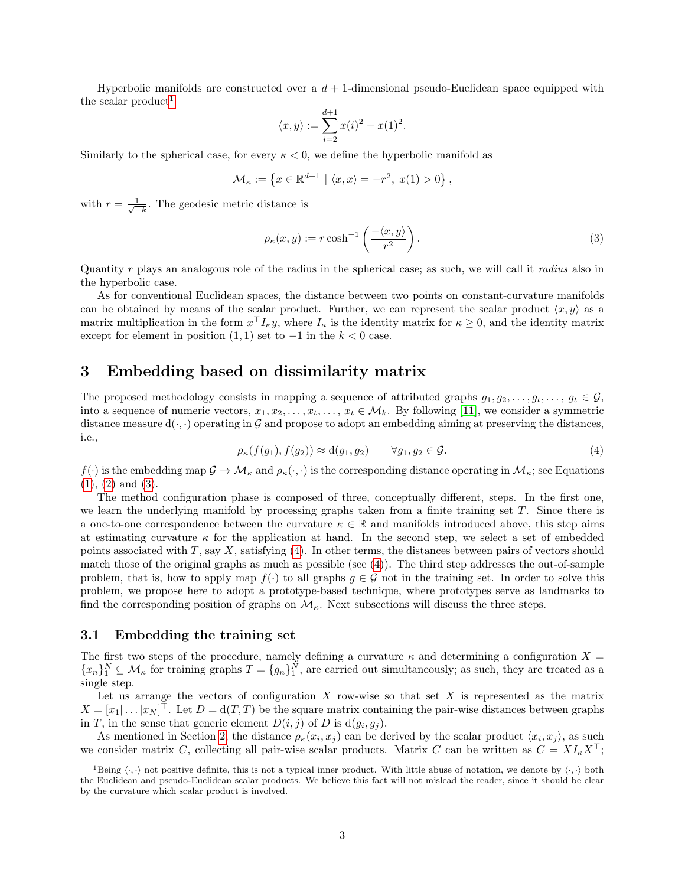Hyperbolic manifolds are constructed over a  $d + 1$ -dimensional pseudo-Euclidean space equipped with the scalar product<sup>[1](#page-2-1)</sup>

$$
\langle x, y \rangle := \sum_{i=2}^{d+1} x(i)^2 - x(1)^2.
$$

Similarly to the spherical case, for every  $\kappa < 0$ , we define the hyperbolic manifold as

$$
\mathcal{M}_{\kappa} := \left\{ x \in \mathbb{R}^{d+1} \mid \langle x, x \rangle = -r^2, \ x(1) > 0 \right\},\
$$

with  $r = \frac{1}{\sqrt{2}}$  $\frac{1}{-k}$ . The geodesic metric distance is

<span id="page-2-2"></span>
$$
\rho_{\kappa}(x,y) := r \cosh^{-1}\left(\frac{-\langle x,y\rangle}{r^2}\right). \tag{3}
$$

Quantity r plays an analogous role of the radius in the spherical case; as such, we will call it radius also in the hyperbolic case.

As for conventional Euclidean spaces, the distance between two points on constant-curvature manifolds can be obtained by means of the scalar product. Further, we can represent the scalar product  $\langle x, y \rangle$  as a matrix multiplication in the form  $x^{\top} I_{\kappa} y$ , where  $I_{\kappa}$  is the identity matrix for  $\kappa \geq 0$ , and the identity matrix except for element in position  $(1, 1)$  set to  $-1$  in the  $k < 0$  case.

# <span id="page-2-0"></span>3 Embedding based on dissimilarity matrix

The proposed methodology consists in mapping a sequence of attributed graphs  $g_1, g_2, \ldots, g_t, \ldots, g_t \in \mathcal{G}$ , into a sequence of numeric vectors,  $x_1, x_2, \ldots, x_t, \ldots, x_t \in \mathcal{M}_k$ . By following [\[11\]](#page-9-9), we consider a symmetric distance measure  $d(\cdot, \cdot)$  operating in G and propose to adopt an embedding aiming at preserving the distances, i.e.,

<span id="page-2-3"></span>
$$
\rho_{\kappa}(f(g_1), f(g_2)) \approx d(g_1, g_2) \qquad \forall g_1, g_2 \in \mathcal{G}.\tag{4}
$$

 $f(\cdot)$  is the embedding map  $\mathcal{G} \to \mathcal{M}_{\kappa}$  and  $\rho_{\kappa}(\cdot, \cdot)$  is the corresponding distance operating in  $\mathcal{M}_{\kappa}$ ; see Equations [\(1\)](#page-1-1), [\(2\)](#page-1-2) and [\(3\)](#page-2-2).

The method configuration phase is composed of three, conceptually different, steps. In the first one, we learn the underlying manifold by processing graphs taken from a finite training set T. Since there is a one-to-one correspondence between the curvature  $\kappa \in \mathbb{R}$  and manifolds introduced above, this step aims at estimating curvature  $\kappa$  for the application at hand. In the second step, we select a set of embedded points associated with T, say X, satisfying [\(4\)](#page-2-3). In other terms, the distances between pairs of vectors should match those of the original graphs as much as possible (see [\(4\)](#page-2-3)). The third step addresses the out-of-sample problem, that is, how to apply map  $f(\cdot)$  to all graphs  $g \in \mathcal{G}$  not in the training set. In order to solve this problem, we propose here to adopt a prototype-based technique, where prototypes serve as landmarks to find the corresponding position of graphs on  $\mathcal{M}_{\kappa}$ . Next subsections will discuss the three steps.

#### 3.1 Embedding the training set

The first two steps of the procedure, namely defining a curvature  $\kappa$  and determining a configuration  $X =$  ${x_n}_1^N \subseteq \mathcal{M}_{\kappa}$  for training graphs  $T = {g_n}_1^N$ , are carried out simultaneously; as such, they are treated as a single step.

Let us arrange the vectors of configuration  $X$  row-wise so that set  $X$  is represented as the matrix  $X = [x_1 | \dots | x_N]^\top$ . Let  $D = d(T, T)$  be the square matrix containing the pair-wise distances between graphs in T, in the sense that generic element  $D(i, j)$  of D is  $d(g_i, g_j)$ .

As mentioned in Section [2,](#page-1-0) the distance  $\rho_{\kappa}(x_i, x_j)$  can be derived by the scalar product  $\langle x_i, x_j \rangle$ , as such we consider matrix C, collecting all pair-wise scalar products. Matrix C can be written as  $C = X I_{\kappa} X^{\top}$ ;

<span id="page-2-1"></span><sup>&</sup>lt;sup>1</sup>Being  $\langle \cdot, \cdot \rangle$  not positive definite, this is not a typical inner product. With little abuse of notation, we denote by  $\langle \cdot, \cdot \rangle$  both the Euclidean and pseudo-Euclidean scalar products. We believe this fact will not mislead the reader, since it should be clear by the curvature which scalar product is involved.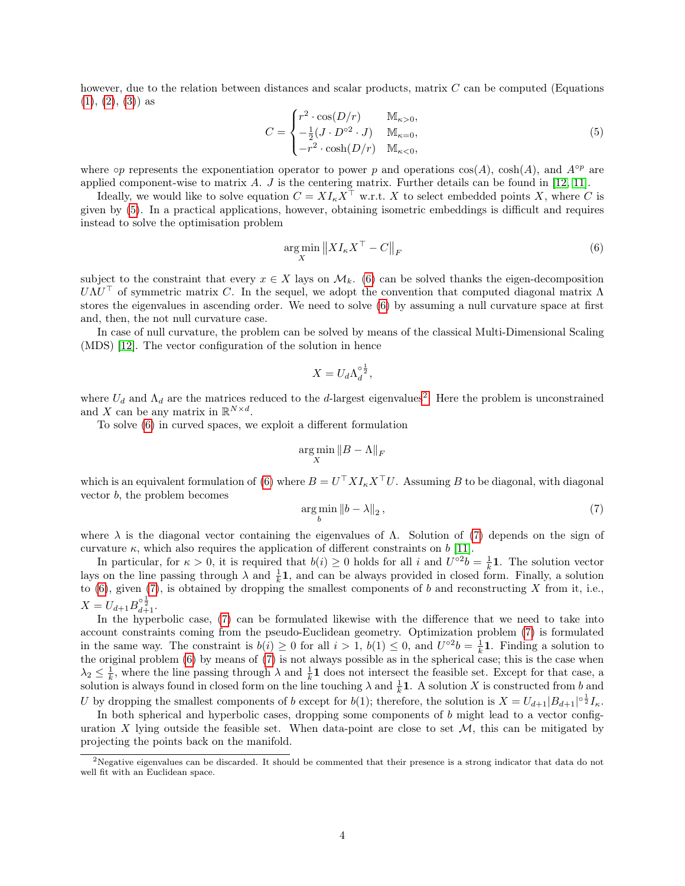however, due to the relation between distances and scalar products, matrix C can be computed (Equations  $(1), (2), (3)$  $(1), (2), (3)$  $(1), (2), (3)$  $(1), (2), (3)$  $(1), (2), (3)$  as

<span id="page-3-0"></span>
$$
C = \begin{cases} r^2 \cdot \cos(D/r) & \mathbb{M}_{\kappa > 0}, \\ -\frac{1}{2}(J \cdot D^{\circ 2} \cdot J) & \mathbb{M}_{\kappa = 0}, \\ -r^2 \cdot \cosh(D/r) & \mathbb{M}_{\kappa < 0}, \end{cases} \tag{5}
$$

where  $\circ p$  represents the exponentiation operator to power p and operations  $\cos(A)$ ,  $\cosh(A)$ , and  $A^{\circ p}$  are applied component-wise to matrix  $A$ .  $J$  is the centering matrix. Further details can be found in [\[12,](#page-9-10) [11\]](#page-9-9).

Ideally, we would like to solve equation  $C = X I_k X^{\top}$  w.r.t. X to select embedded points X, where C is given by [\(5\)](#page-3-0). In a practical applications, however, obtaining isometric embeddings is difficult and requires instead to solve the optimisation problem

<span id="page-3-1"></span>
$$
\underset{X}{\arg\min} \left\| X I_{\kappa} X^{\top} - C \right\|_{F} \tag{6}
$$

subject to the constraint that every  $x \in X$  lays on  $\mathcal{M}_k$ . [\(6\)](#page-3-1) can be solved thanks the eigen-decomposition  $U\Lambda U^{\top}$  of symmetric matrix C. In the sequel, we adopt the convention that computed diagonal matrix  $\Lambda$ stores the eigenvalues in ascending order. We need to solve [\(6\)](#page-3-1) by assuming a null curvature space at first and, then, the not null curvature case.

In case of null curvature, the problem can be solved by means of the classical Multi-Dimensional Scaling (MDS) [\[12\]](#page-9-10). The vector configuration of the solution in hence

$$
X = U_d \Lambda_d^{\circ \frac{1}{2}},
$$

where  $U_d$  and  $\Lambda_d$  are the matrices reduced to the d-largest eigenvalues<sup>[2](#page-3-2)</sup>. Here the problem is unconstrained and X can be any matrix in  $\mathbb{R}^{N \times d}$ .

To solve [\(6\)](#page-3-1) in curved spaces, we exploit a different formulation

$$
\argmin_X \|B - \Lambda\|_F
$$

which is an equivalent formulation of [\(6\)](#page-3-1) where  $B = U^{\top} X I_{\kappa} X^{\top} U$ . Assuming B to be diagonal, with diagonal vector b, the problem becomes

<span id="page-3-3"></span>
$$
\underset{b}{\arg\min} \|b - \lambda\|_2, \tag{7}
$$

where  $\lambda$  is the diagonal vector containing the eigenvalues of  $\Lambda$ . Solution of [\(7\)](#page-3-3) depends on the sign of curvature  $\kappa$ , which also requires the application of different constraints on b [\[11\]](#page-9-9).

In particular, for  $\kappa > 0$ , it is required that  $b(i) \geq 0$  holds for all i and  $U^{\circ 2}b = \frac{1}{k}$ **1**. The solution vector lays on the line passing through  $\lambda$  and  $\frac{1}{k}$ , and can be always provided in closed form. Finally, a solution to  $(6)$ , given  $(7)$ , is obtained by dropping the smallest components of b and reconstructing X from it, i.e.,  $X = U_{d+1} B^{\circ \frac{1}{2}}_{d+1}.$ 

In the hyperbolic case, [\(7\)](#page-3-3) can be formulated likewise with the difference that we need to take into account constraints coming from the pseudo-Euclidean geometry. Optimization problem [\(7\)](#page-3-3) is formulated in the same way. The constraint is  $b(i) \geq 0$  for all  $i > 1$ ,  $b(1) \leq 0$ , and  $U^{\circ 2}b = \frac{1}{k}1$ . Finding a solution to the original problem [\(6\)](#page-3-1) by means of [\(7\)](#page-3-3) is not always possible as in the spherical case; this is the case when  $\lambda_2 \leq \frac{1}{k}$ , where the line passing through  $\lambda$  and  $\frac{1}{k}$  does not intersect the feasible set. Except for that case, a solution is always found in closed form on the line touching  $\lambda$  and  $\frac{1}{k}1$ . A solution X is constructed from b and U by dropping the smallest components of b except for  $b(1)$ ; therefore, the solution is  $X = U_{d+1}|B_{d+1}|^{\circ \frac{1}{2}}I_{\kappa}$ .

In both spherical and hyperbolic cases, dropping some components of b might lead to a vector configuration X lying outside the feasible set. When data-point are close to set  $M$ , this can be mitigated by projecting the points back on the manifold.

<span id="page-3-2"></span><sup>&</sup>lt;sup>2</sup>Negative eigenvalues can be discarded. It should be commented that their presence is a strong indicator that data do not well fit with an Euclidean space.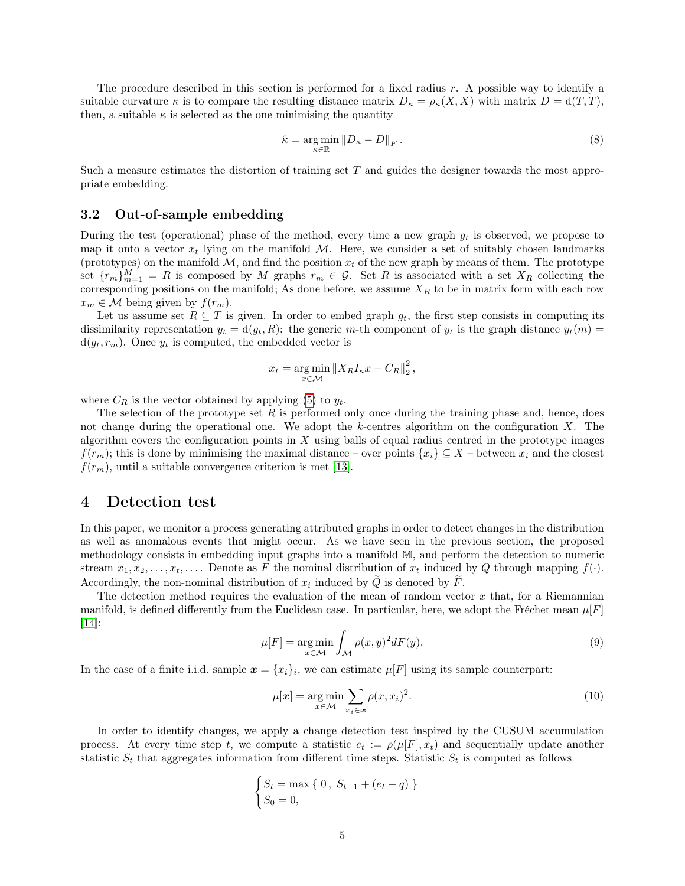The procedure described in this section is performed for a fixed radius r. A possible way to identify a suitable curvature  $\kappa$  is to compare the resulting distance matrix  $D_{\kappa} = \rho_{\kappa}(X, X)$  with matrix  $D = d(T, T)$ , then, a suitable  $\kappa$  is selected as the one minimising the quantity

<span id="page-4-1"></span>
$$
\hat{\kappa} = \underset{\kappa \in \mathbb{R}}{\arg \min} \left\| D_{\kappa} - D \right\|_{F} . \tag{8}
$$

Such a measure estimates the distortion of training set T and guides the designer towards the most appropriate embedding.

#### 3.2 Out-of-sample embedding

During the test (operational) phase of the method, every time a new graph  $g_t$  is observed, we propose to map it onto a vector  $x_t$  lying on the manifold M. Here, we consider a set of suitably chosen landmarks (prototypes) on the manifold  $\mathcal{M}$ , and find the position  $x_t$  of the new graph by means of them. The prototype set  ${r_m}_{m=1}^M = R$  is composed by M graphs  $r_m \in \mathcal{G}$ . Set R is associated with a set  $X_R$  collecting the corresponding positions on the manifold; As done before, we assume  $X_R$  to be in matrix form with each row  $x_m \in \mathcal{M}$  being given by  $f(r_m)$ .

Let us assume set  $R \subseteq T$  is given. In order to embed graph  $g_t$ , the first step consists in computing its dissimilarity representation  $y_t = d(g_t, R)$ : the generic m-th component of  $y_t$  is the graph distance  $y_t(m)$  $d(g_t, r_m)$ . Once  $y_t$  is computed, the embedded vector is

$$
x_t = \underset{x \in \mathcal{M}}{\arg \min} \left\| X_R I_{\kappa} x - C_R \right\|_2^2,
$$

where  $C_R$  is the vector obtained by applying [\(5\)](#page-3-0) to  $y_t$ .

The selection of the prototype set  $R$  is performed only once during the training phase and, hence, does not change during the operational one. We adopt the k-centres algorithm on the configuration  $X$ . The algorithm covers the configuration points in  $X$  using balls of equal radius centred in the prototype images  $f(r_m)$ ; this is done by minimising the maximal distance – over points  $\{x_i\} \subseteq X$  – between  $x_i$  and the closest  $f(r_m)$ , until a suitable convergence criterion is met [\[13\]](#page-9-11).

#### <span id="page-4-0"></span>4 Detection test

In this paper, we monitor a process generating attributed graphs in order to detect changes in the distribution as well as anomalous events that might occur. As we have seen in the previous section, the proposed methodology consists in embedding input graphs into a manifold M, and perform the detection to numeric stream  $x_1, x_2, \ldots, x_t, \ldots$  Denote as F the nominal distribution of  $x_t$  induced by Q through mapping  $f(\cdot)$ . Accordingly, the non-nominal distribution of  $x_i$  induced by  $Q$  is denoted by  $F$ .

The detection method requires the evaluation of the mean of random vector  $x$  that, for a Riemannian manifold, is defined differently from the Euclidean case. In particular, here, we adopt the Fréchet mean  $\mu[F]$ [\[14\]](#page-9-12):

<span id="page-4-2"></span>
$$
\mu[F] = \underset{x \in \mathcal{M}}{\arg \min} \int_{\mathcal{M}} \rho(x, y)^2 dF(y). \tag{9}
$$

In the case of a finite i.i.d. sample  $\boldsymbol{x} = \{x_i\}_i$ , we can estimate  $\mu[F]$  using its sample counterpart:

<span id="page-4-3"></span>
$$
\mu[\boldsymbol{x}] = \underset{x \in \mathcal{M}}{\arg \min} \sum_{x_i \in \boldsymbol{x}} \rho(x, x_i)^2.
$$
\n(10)

In order to identify changes, we apply a change detection test inspired by the CUSUM accumulation process. At every time step t, we compute a statistic  $e_t := \rho(\mu[F], x_t)$  and sequentially update another statistic  $S_t$  that aggregates information from different time steps. Statistic  $S_t$  is computed as follows

$$
\begin{cases} S_t = \max\{0, \ S_{t-1} + (e_t - q) \} \\ S_0 = 0, \end{cases}
$$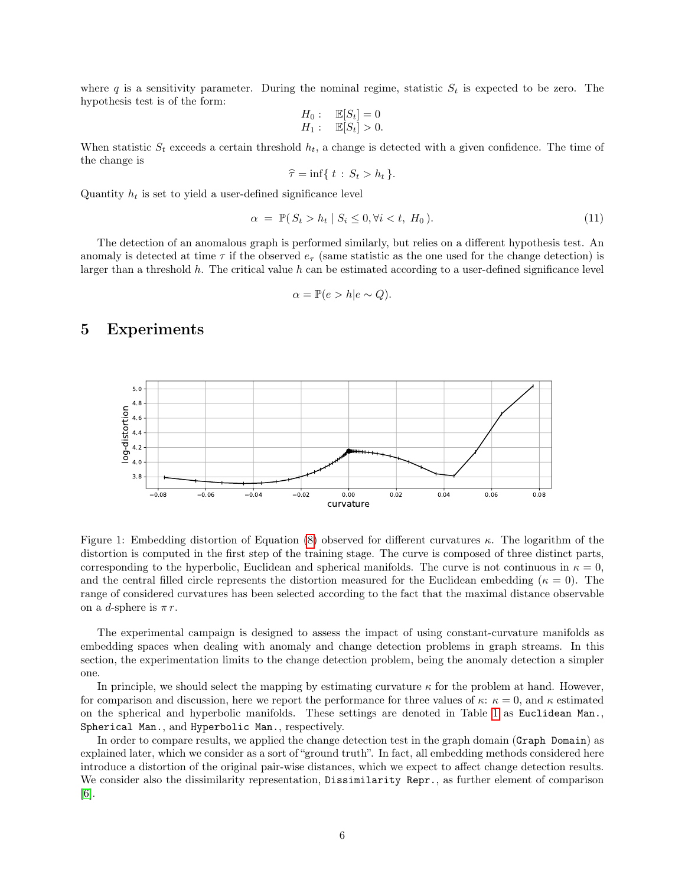where q is a sensitivity parameter. During the nominal regime, statistic  $S_t$  is expected to be zero. The hypothesis test is of the form:

$$
H_0: \quad \mathbb{E}[S_t] = 0
$$
  

$$
H_1: \quad \mathbb{E}[S_t] > 0.
$$

When statistic  $S_t$  exceeds a certain threshold  $h_t$ , a change is detected with a given confidence. The time of the change is

$$
\widehat{\tau} = \inf\{ t : S_t > h_t \}.
$$

Quantity  $h_t$  is set to yield a user-defined significance level

<span id="page-5-1"></span>
$$
\alpha = \mathbb{P}(S_t > h_t \mid S_i \le 0, \forall i < t, H_0). \tag{11}
$$

The detection of an anomalous graph is performed similarly, but relies on a different hypothesis test. An anomaly is detected at time  $\tau$  if the observed  $e_{\tau}$  (same statistic as the one used for the change detection) is larger than a threshold h. The critical value h can be estimated according to a user-defined significance level

$$
\alpha = \mathbb{P}(e > h|e \sim Q).
$$

#### <span id="page-5-0"></span>5 Experiments



<span id="page-5-2"></span>Figure 1: Embedding distortion of Equation [\(8\)](#page-4-1) observed for different curvatures κ. The logarithm of the distortion is computed in the first step of the training stage. The curve is composed of three distinct parts, corresponding to the hyperbolic, Euclidean and spherical manifolds. The curve is not continuous in  $\kappa = 0$ , and the central filled circle represents the distortion measured for the Euclidean embedding ( $\kappa = 0$ ). The range of considered curvatures has been selected according to the fact that the maximal distance observable on a *d*-sphere is  $\pi r$ .

The experimental campaign is designed to assess the impact of using constant-curvature manifolds as embedding spaces when dealing with anomaly and change detection problems in graph streams. In this section, the experimentation limits to the change detection problem, being the anomaly detection a simpler one.

In principle, we should select the mapping by estimating curvature  $\kappa$  for the problem at hand. However, for comparison and discussion, here we report the performance for three values of  $\kappa: \kappa = 0$ , and  $\kappa$  estimated on the spherical and hyperbolic manifolds. These settings are denoted in Table [1](#page-6-0) as Euclidean Man., Spherical Man., and Hyperbolic Man., respectively.

In order to compare results, we applied the change detection test in the graph domain (Graph Domain) as explained later, which we consider as a sort of "ground truth". In fact, all embedding methods considered here introduce a distortion of the original pair-wise distances, which we expect to affect change detection results. We consider also the dissimilarity representation, Dissimilarity Repr., as further element of comparison [\[6\]](#page-9-4).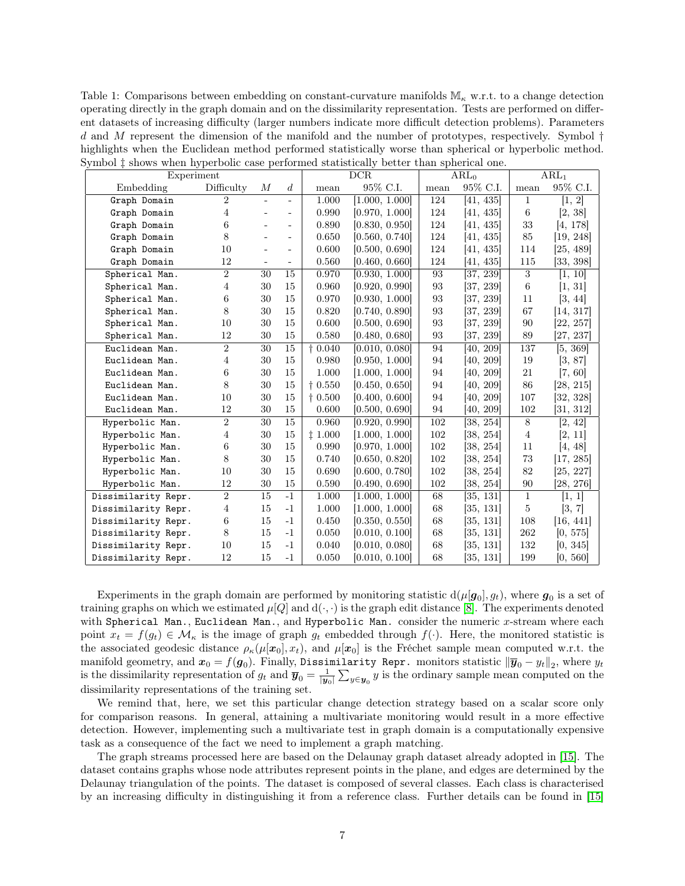<span id="page-6-0"></span>Table 1: Comparisons between embedding on constant-curvature manifolds  $\mathbb{M}_{\kappa}$  w.r.t. to a change detection operating directly in the graph domain and on the dissimilarity representation. Tests are performed on different datasets of increasing difficulty (larger numbers indicate more difficult detection problems). Parameters d and M represent the dimension of the manifold and the number of prototypes, respectively. Symbol  $\dagger$ highlights when the Euclidean method performed statistically worse than spherical or hyperbolic method. Symbol  $\ddagger$  shows when hyperbolic case performed statistically better than spherical one.

| where $\cdots$ is a model and $\mathbf{r}_i$ is the second compact.<br>Experiment |                |                          |                          | DCR             |                | ARL <sub>0</sub> |           | ARL <sub>1</sub> |           |
|-----------------------------------------------------------------------------------|----------------|--------------------------|--------------------------|-----------------|----------------|------------------|-----------|------------------|-----------|
| Embedding                                                                         | Difficulty     | М                        | $\boldsymbol{d}$         | mean            | 95% C.I.       | mean             | 95% C.I.  | mean             | 95% C.I.  |
| Graph Domain                                                                      | $\overline{2}$ | $\overline{\phantom{a}}$ | $\overline{\phantom{0}}$ | 1.000           | [1.000, 1.000] | 124              | [41, 435] | $\mathbf{1}$     | [1, 2]    |
| Graph Domain                                                                      | 4              |                          | $\overline{\phantom{0}}$ | 0.990           | [0.970, 1.000] | 124              | [41, 435] | 6                | [2, 38]   |
| Graph Domain                                                                      | 6              |                          | $\overline{\phantom{0}}$ | 0.890           | [0.830, 0.950] | 124              | [41, 435] | 33               | [4, 178]  |
| Graph Domain                                                                      | 8              |                          |                          | 0.650           | [0.560, 0.740] | 124              | [41, 435] | 85               | [19, 248] |
| Graph Domain                                                                      | 10             |                          | $\overline{\phantom{a}}$ | 0.600           | [0.500, 0.690] | 124              | [41, 435] | 114              | [25, 489] |
| Graph Domain                                                                      | 12             |                          |                          | $0.560\,$       | [0.460, 0.660] | 124              | [41, 435] | 115              | [33, 398] |
| Spherical Man.                                                                    | $\sqrt{2}$     | 30                       | 15                       | 0.970           | [0.930, 1.000] | 93               | [37, 239] | 3                | [1, 10]   |
| Spherical Man.                                                                    | $\overline{4}$ | 30                       | 15                       | 0.960           | [0.920, 0.990] | 93               | [37, 239] | 6                | [1, 31]   |
| Spherical Man.                                                                    | $\,6$          | 30                       | 15                       | 0.970           | [0.930, 1.000] | 93               | [37, 239] | 11               | [3, 44]   |
| Spherical Man.                                                                    | 8              | 30                       | 15                       | 0.820           | [0.740, 0.890] | 93               | [37, 239] | 67               | [14, 317] |
| Spherical Man.                                                                    | 10             | 30                       | 15                       | 0.600           | [0.500, 0.690] | 93               | 37, 239   | 90               | [22, 257] |
| Spherical Man.                                                                    | 12             | 30                       | 15                       | 0.580           | [0.480, 0.680] | 93               | [37, 239] | 89               | [27, 237] |
| Euclidean Man.                                                                    | $\overline{2}$ | 30                       | 15                       | $\dagger$ 0.040 | [0.010, 0.080] | 94               | [40, 209] | 137              | [5, 369]  |
| Euclidean Man.                                                                    | 4              | 30                       | 15                       | 0.980           | [0.950, 1.000] | 94               | [40, 209] | 19               | [3, 87]   |
| Euclidean Man.                                                                    | 6              | 30                       | 15                       | 1.000           | [1.000, 1.000] | 94               | [40, 209] | 21               | [7, 60]   |
| Euclidean Man.                                                                    | 8              | 30                       | 15                       | $+0.550$        | [0.450, 0.650] | 94               | [40, 209] | 86               | [28, 215] |
| Euclidean Man.                                                                    | 10             | 30                       | 15                       | $\dagger$ 0.500 | [0.400, 0.600] | 94               | [40, 209] | 107              | [32, 328] |
| Euclidean Man.                                                                    | 12             | 30                       | 15                       | 0.600           | [0.500, 0.690] | 94               | [40, 209] | 102              | [31, 312] |
| Hyperbolic Man.                                                                   | $\overline{2}$ | 30                       | 15                       | 0.960           | [0.920, 0.990] | 102              | [38, 254] | $8\,$            | [2, 42]   |
| Hyperbolic Man.                                                                   | 4              | 30                       | 15                       | ‡1.000          | [1.000, 1.000] | 102              | [38, 254] | $\overline{4}$   | [2, 11]   |
| Hyperbolic Man.                                                                   | 6              | 30                       | 15                       | $0.990\,$       | [0.970, 1.000] | 102              | 38, 254   | 11               | [4, 48]   |
| Hyperbolic Man.                                                                   | 8              | 30                       | 15                       | 0.740           | [0.650, 0.820] | 102              | [38, 254] | 73               | [17, 285] |
| Hyperbolic Man.                                                                   | 10             | 30                       | 15                       | 0.690           | [0.600, 0.780] | 102              | [38, 254] | 82               | [25, 227] |
| Hyperbolic Man.                                                                   | 12             | 30                       | 15                       | 0.590           | [0.490, 0.690] | 102              | [38, 254] | 90               | [28, 276] |
| Dissimilarity Repr.                                                               | $\overline{2}$ | 15                       | $-1$                     | 1.000           | [1.000, 1.000] | 68               | [35, 131] | $\mathbf{1}$     | [1, 1]    |
| Dissimilarity Repr.                                                               | $\overline{4}$ | 15                       | $-1$                     | 1.000           | [1.000, 1.000] | 68               | [35, 131] | 5                | [3, 7]    |
| Dissimilarity Repr.                                                               | $\,6\,$        | 15                       | $-1$                     | 0.450           | [0.350, 0.550] | 68               | [35, 131] | 108              | [16, 441] |
| Dissimilarity Repr.                                                               | $8\,$          | 15                       | $-1$                     | 0.050           | [0.010, 0.100] | 68               | 35, 131   | 262              | [0, 575]  |
| Dissimilarity Repr.                                                               | 10             | 15                       | $-1$                     | 0.040           | [0.010, 0.080] | 68               | [35, 131] | 132              | [0, 345]  |
| Dissimilarity Repr.                                                               | 12             | 15                       | $-1$                     | 0.050           | [0.010, 0.100] | 68               | [35, 131] | 199              | [0, 560]  |

Experiments in the graph domain are performed by monitoring statistic  $d(\mu[\mathbf{g}_0], g_t)$ , where  $\mathbf{g}_0$  is a set of training graphs on which we estimated  $\mu[Q]$  and  $d(\cdot, \cdot)$  is the graph edit distance [\[8\]](#page-9-6). The experiments denoted with Spherical Man., Euclidean Man., and Hyperbolic Man. consider the numeric  $x$ -stream where each point  $x_t = f(g_t) \in \mathcal{M}_\kappa$  is the image of graph  $g_t$  embedded through  $f(\cdot)$ . Here, the monitored statistic is the associated geodesic distance  $\rho_{\kappa}(\mu[x_0], x_t)$ , and  $\mu[x_0]$  is the Fréchet sample mean computed w.r.t. the manifold geometry, and  $\bm{x}_0 = f(\bm{g}_0)$ . Finally, Dissimilarity Repr. monitors statistic  $\|\bm{\overline{y}}_0 - y_t\|_2$ , where  $y_t$ is the dissimilarity representation of  $g_t$  and  $\overline{y}_0 = \frac{1}{|y_0|} \sum_{y \in y_0} y$  is the ordinary sample mean computed on the dissimilarity representations of the training set.

We remind that, here, we set this particular change detection strategy based on a scalar score only for comparison reasons. In general, attaining a multivariate monitoring would result in a more effective detection. However, implementing such a multivariate test in graph domain is a computationally expensive task as a consequence of the fact we need to implement a graph matching.

The graph streams processed here are based on the Delaunay graph dataset already adopted in [\[15\]](#page-9-13). The dataset contains graphs whose node attributes represent points in the plane, and edges are determined by the Delaunay triangulation of the points. The dataset is composed of several classes. Each class is characterised by an increasing difficulty in distinguishing it from a reference class. Further details can be found in [\[15\]](#page-9-13)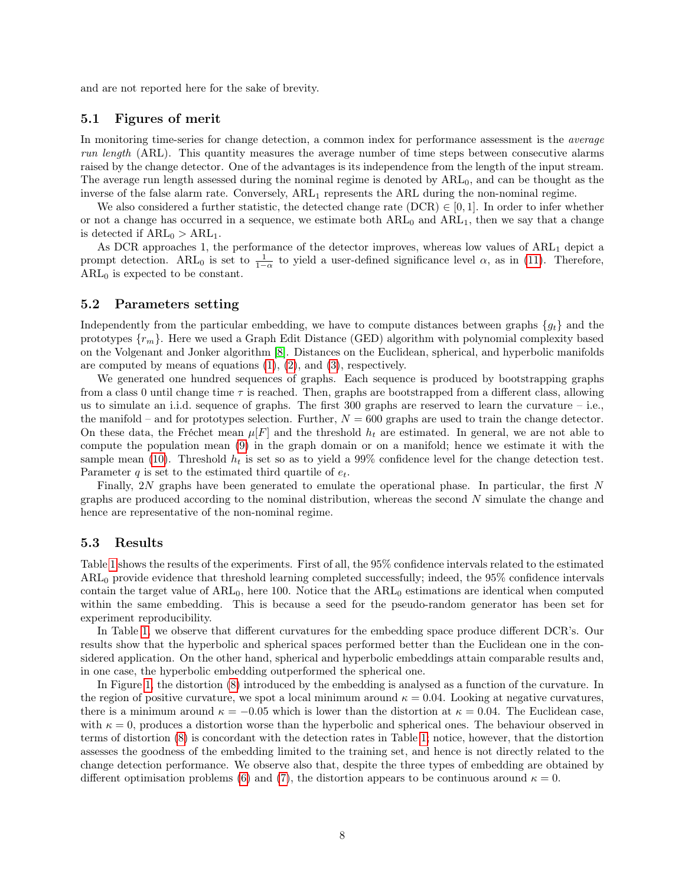and are not reported here for the sake of brevity.

#### 5.1 Figures of merit

In monitoring time-series for change detection, a common index for performance assessment is the *average* run length (ARL). This quantity measures the average number of time steps between consecutive alarms raised by the change detector. One of the advantages is its independence from the length of the input stream. The average run length assessed during the nominal regime is denoted by  $ARL<sub>0</sub>$ , and can be thought as the inverse of the false alarm rate. Conversely,  $ARL_1$  represents the ARL during the non-nominal regime.

We also considered a further statistic, the detected change rate (DCR)  $\in [0,1]$ . In order to infer whether or not a change has occurred in a sequence, we estimate both  $ARL_0$  and  $ARL_1$ , then we say that a change is detected if  $ARL_0 > ARL_1$ .

As DCR approaches 1, the performance of the detector improves, whereas low values of ARL<sub>1</sub> depict a prompt detection. ARL<sub>0</sub> is set to  $\frac{1}{1-\alpha}$  to yield a user-defined significance level  $\alpha$ , as in [\(11\)](#page-5-1). Therefore,  $ARL<sub>0</sub>$  is expected to be constant.

#### 5.2 Parameters setting

Independently from the particular embedding, we have to compute distances between graphs  $\{g_t\}$  and the prototypes  $\{r_m\}$ . Here we used a Graph Edit Distance (GED) algorithm with polynomial complexity based on the Volgenant and Jonker algorithm [\[8\]](#page-9-6). Distances on the Euclidean, spherical, and hyperbolic manifolds are computed by means of equations [\(1\)](#page-1-1), [\(2\)](#page-1-2), and [\(3\)](#page-2-2), respectively.

We generated one hundred sequences of graphs. Each sequence is produced by bootstrapping graphs from a class 0 until change time  $\tau$  is reached. Then, graphs are bootstrapped from a different class, allowing us to simulate an i.i.d. sequence of graphs. The first 300 graphs are reserved to learn the curvature – i.e., the manifold – and for prototypes selection. Further,  $N = 600$  graphs are used to train the change detector. On these data, the Fréchet mean  $\mu[F]$  and the threshold  $h_t$  are estimated. In general, we are not able to compute the population mean [\(9\)](#page-4-2) in the graph domain or on a manifold; hence we estimate it with the sample mean [\(10\)](#page-4-3). Threshold  $h_t$  is set so as to yield a 99% confidence level for the change detection test. Parameter  $q$  is set to the estimated third quartile of  $e_t$ .

Finally, 2N graphs have been generated to emulate the operational phase. In particular, the first N graphs are produced according to the nominal distribution, whereas the second N simulate the change and hence are representative of the non-nominal regime.

#### 5.3 Results

Table [1](#page-6-0) shows the results of the experiments. First of all, the 95% confidence intervals related to the estimated ARL<sup>0</sup> provide evidence that threshold learning completed successfully; indeed, the 95% confidence intervals contain the target value of  $ARL<sub>0</sub>$ , here 100. Notice that the  $ARL<sub>0</sub>$  estimations are identical when computed within the same embedding. This is because a seed for the pseudo-random generator has been set for experiment reproducibility.

In Table [1,](#page-6-0) we observe that different curvatures for the embedding space produce different DCR's. Our results show that the hyperbolic and spherical spaces performed better than the Euclidean one in the considered application. On the other hand, spherical and hyperbolic embeddings attain comparable results and, in one case, the hyperbolic embedding outperformed the spherical one.

In Figure [1,](#page-5-2) the distortion [\(8\)](#page-4-1) introduced by the embedding is analysed as a function of the curvature. In the region of positive curvature, we spot a local minimum around  $\kappa = 0.04$ . Looking at negative curvatures, there is a minimum around  $\kappa = -0.05$  which is lower than the distortion at  $\kappa = 0.04$ . The Euclidean case, with  $\kappa = 0$ , produces a distortion worse than the hyperbolic and spherical ones. The behaviour observed in terms of distortion [\(8\)](#page-4-1) is concordant with the detection rates in Table [1;](#page-6-0) notice, however, that the distortion assesses the goodness of the embedding limited to the training set, and hence is not directly related to the change detection performance. We observe also that, despite the three types of embedding are obtained by different optimisation problems [\(6\)](#page-3-1) and [\(7\)](#page-3-3), the distortion appears to be continuous around  $\kappa = 0$ .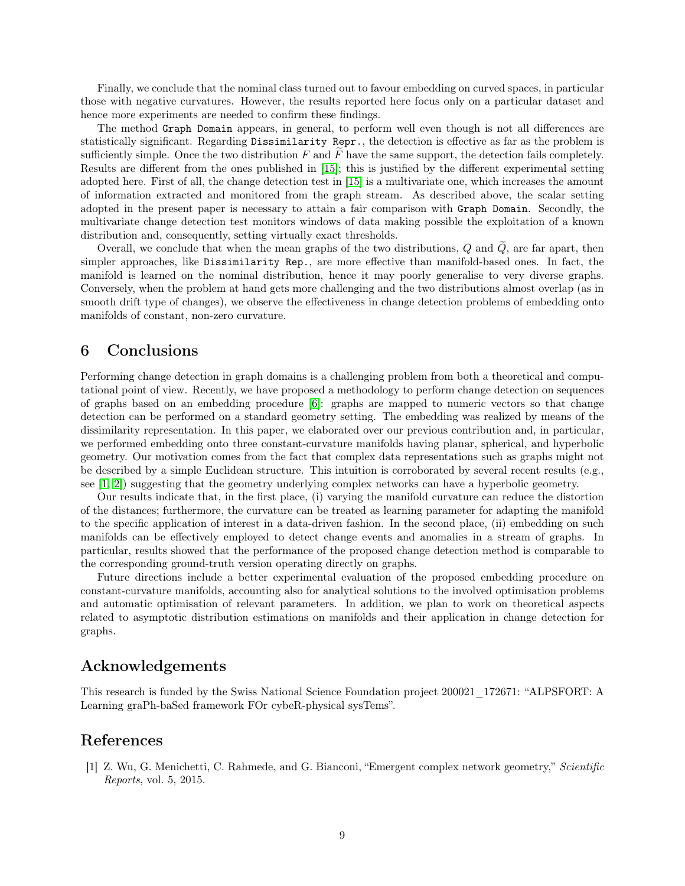Finally, we conclude that the nominal class turned out to favour embedding on curved spaces, in particular those with negative curvatures. However, the results reported here focus only on a particular dataset and hence more experiments are needed to confirm these findings.

The method Graph Domain appears, in general, to perform well even though is not all differences are statistically significant. Regarding Dissimilarity Repr., the detection is effective as far as the problem is sufficiently simple. Once the two distribution  $F$  and  $\overline{F}$  have the same support, the detection fails completely. Results are different from the ones published in [\[15\]](#page-9-13); this is justified by the different experimental setting adopted here. First of all, the change detection test in [\[15\]](#page-9-13) is a multivariate one, which increases the amount of information extracted and monitored from the graph stream. As described above, the scalar setting adopted in the present paper is necessary to attain a fair comparison with Graph Domain. Secondly, the multivariate change detection test monitors windows of data making possible the exploitation of a known distribution and, consequently, setting virtually exact thresholds.

Overall, we conclude that when the mean graphs of the two distributions,  $Q$  and  $\tilde{Q}$ , are far apart, then simpler approaches, like Dissimilarity Rep., are more effective than manifold-based ones. In fact, the manifold is learned on the nominal distribution, hence it may poorly generalise to very diverse graphs. Conversely, when the problem at hand gets more challenging and the two distributions almost overlap (as in smooth drift type of changes), we observe the effectiveness in change detection problems of embedding onto manifolds of constant, non-zero curvature.

# <span id="page-8-1"></span>6 Conclusions

Performing change detection in graph domains is a challenging problem from both a theoretical and computational point of view. Recently, we have proposed a methodology to perform change detection on sequences of graphs based on an embedding procedure [\[6\]](#page-9-4): graphs are mapped to numeric vectors so that change detection can be performed on a standard geometry setting. The embedding was realized by means of the dissimilarity representation. In this paper, we elaborated over our previous contribution and, in particular, we performed embedding onto three constant-curvature manifolds having planar, spherical, and hyperbolic geometry. Our motivation comes from the fact that complex data representations such as graphs might not be described by a simple Euclidean structure. This intuition is corroborated by several recent results (e.g., see  $[1, 2]$  $[1, 2]$ ) suggesting that the geometry underlying complex networks can have a hyperbolic geometry.

Our results indicate that, in the first place, (i) varying the manifold curvature can reduce the distortion of the distances; furthermore, the curvature can be treated as learning parameter for adapting the manifold to the specific application of interest in a data-driven fashion. In the second place, (ii) embedding on such manifolds can be effectively employed to detect change events and anomalies in a stream of graphs. In particular, results showed that the performance of the proposed change detection method is comparable to the corresponding ground-truth version operating directly on graphs.

Future directions include a better experimental evaluation of the proposed embedding procedure on constant-curvature manifolds, accounting also for analytical solutions to the involved optimisation problems and automatic optimisation of relevant parameters. In addition, we plan to work on theoretical aspects related to asymptotic distribution estimations on manifolds and their application in change detection for graphs.

# Acknowledgements

This research is funded by the Swiss National Science Foundation project 200021\_172671: "ALPSFORT: A Learning graPh-baSed framework FOr cybeR-physical sysTems".

### References

<span id="page-8-0"></span>[1] Z. Wu, G. Menichetti, C. Rahmede, and G. Bianconi, "Emergent complex network geometry," Scientific Reports, vol. 5, 2015.